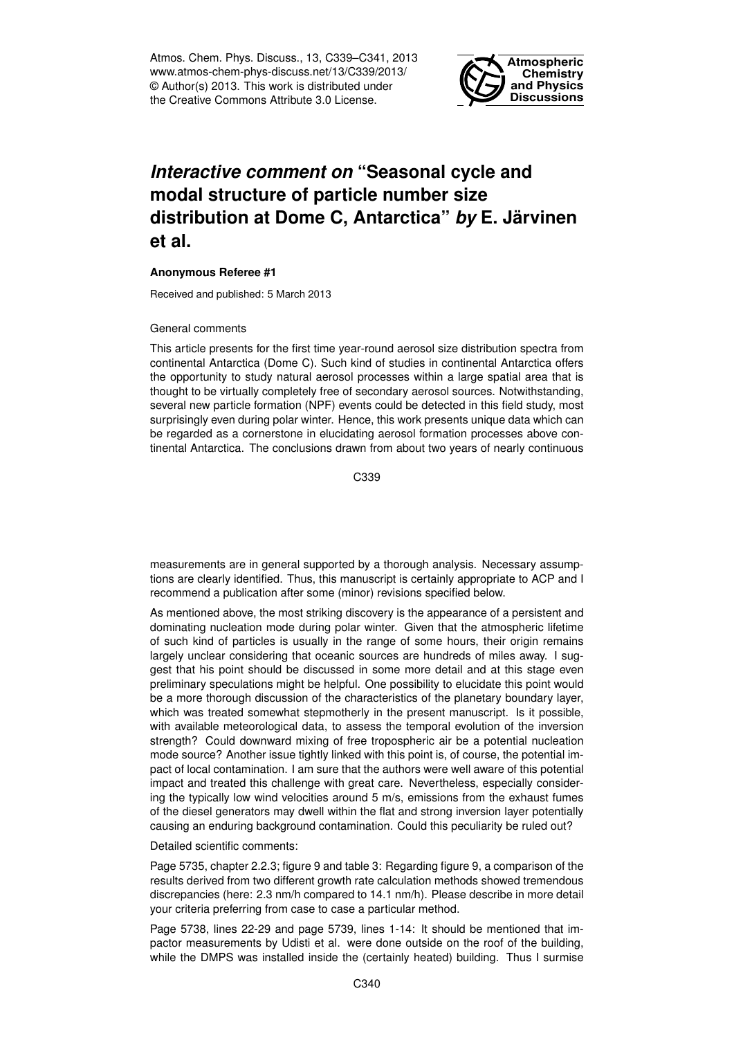Atmos. Chem. Phys. Discuss., 13, C339–C341, 2013 www.atmos-chem-phys-discuss.net/13/C339/2013/ © Author(s) 2013. This work is distributed under the Creative Commons Attribute 3.0 License.



## *Interactive comment on* **"Seasonal cycle and modal structure of particle number size distribution at Dome C, Antarctica"** *by* **E. Järvinen et al.**

## **Anonymous Referee #1**

Received and published: 5 March 2013

## General comments

This article presents for the first time year-round aerosol size distribution spectra from continental Antarctica (Dome C). Such kind of studies in continental Antarctica offers the opportunity to study natural aerosol processes within a large spatial area that is thought to be virtually completely free of secondary aerosol sources. Notwithstanding, several new particle formation (NPF) events could be detected in this field study, most surprisingly even during polar winter. Hence, this work presents unique data which can be regarded as a cornerstone in elucidating aerosol formation processes above continental Antarctica. The conclusions drawn from about two years of nearly continuous

C339

measurements are in general supported by a thorough analysis. Necessary assumptions are clearly identified. Thus, this manuscript is certainly appropriate to ACP and I recommend a publication after some (minor) revisions specified below.

As mentioned above, the most striking discovery is the appearance of a persistent and dominating nucleation mode during polar winter. Given that the atmospheric lifetime of such kind of particles is usually in the range of some hours, their origin remains largely unclear considering that oceanic sources are hundreds of miles away. I suggest that his point should be discussed in some more detail and at this stage even preliminary speculations might be helpful. One possibility to elucidate this point would be a more thorough discussion of the characteristics of the planetary boundary layer, which was treated somewhat stepmotherly in the present manuscript. Is it possible, with available meteorological data, to assess the temporal evolution of the inversion strength? Could downward mixing of free tropospheric air be a potential nucleation mode source? Another issue tightly linked with this point is, of course, the potential impact of local contamination. I am sure that the authors were well aware of this potential impact and treated this challenge with great care. Nevertheless, especially considering the typically low wind velocities around 5 m/s, emissions from the exhaust fumes of the diesel generators may dwell within the flat and strong inversion layer potentially causing an enduring background contamination. Could this peculiarity be ruled out?

## Detailed scientific comments:

Page 5735, chapter 2.2.3; figure 9 and table 3: Regarding figure 9, a comparison of the results derived from two different growth rate calculation methods showed tremendous discrepancies (here: 2.3 nm/h compared to 14.1 nm/h). Please describe in more detail your criteria preferring from case to case a particular method.

Page 5738, lines 22-29 and page 5739, lines 1-14: It should be mentioned that impactor measurements by Udisti et al. were done outside on the roof of the building, while the DMPS was installed inside the (certainly heated) building. Thus I surmise